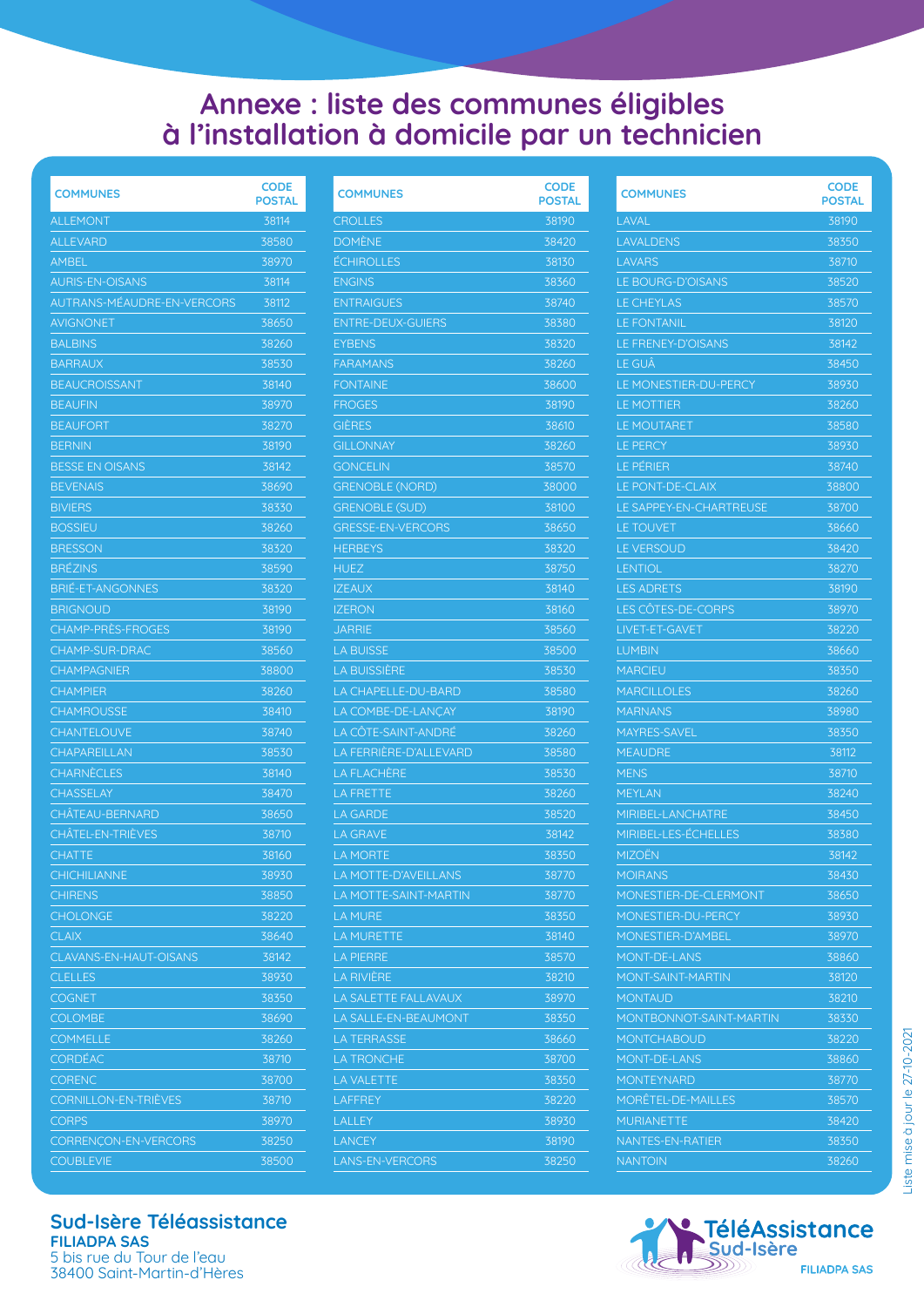## **Annexe : liste des communes éligibles à l'installation à domicile par un technicien**

| <b>COMMUNES</b>             | <b>CODE</b><br>POSTAL |
|-----------------------------|-----------------------|
| <b>ALLEMONT</b>             | 38114                 |
| ALLEVARD                    | 38580                 |
| AMBEL                       | 38970                 |
| <b>AURIS-EN-OISANS</b>      | 38114                 |
| AUTRANS-MÉAUDRE-EN-VERCORS  | 38112                 |
| AVIGNONET                   | 38650                 |
| <b>BALBINS</b>              | 38260                 |
| <b>BARRAUX</b>              | 38530                 |
| <b>BEAUCROISSANT</b>        | 38140                 |
| <b>BEAUFIN</b>              | 38970                 |
| <b>BEAUFORT</b>             | 38270                 |
| <b>BERNIN</b>               | 38190                 |
| <b>BESSE EN OISANS</b>      | 38142                 |
| <b>BEVENAIS</b>             | 38690                 |
| <b>BIVIERS</b>              | 38330                 |
| <b>BOSSIEU</b>              | 38260                 |
| <b>BRESSON</b>              | 38320                 |
| <b>BRÉZINS</b>              | 38590                 |
| <b>BRIE-ET-ANGONNES</b>     | 38320                 |
| <b>BRIGNOUD</b>             | 38190                 |
| CHAMP-PRÈS-FROGES           | 38190                 |
| <b>CHAMP-SUR-DRAC</b>       | 38560                 |
| <b>CHAMPAGNIER</b>          | 38800                 |
| <b>CHAMPIER</b>             | 38260                 |
| <b>CHAMROUSSE</b>           | 38410                 |
| <b>CHANTELOUVE</b>          | 38740                 |
| <b>CHAPAREILLAN</b>         | 38530                 |
| <b>CHARNÈCLES</b>           | 38140                 |
| <b>CHASSELAY</b>            | 38470                 |
| CHÂTEAU-BERNARD             | 38650                 |
| CHÂTEL-EN-TRIEVES           | 38710                 |
| <b>CHATTE</b>               | 38160                 |
| CHICHILIANNE                | 38930                 |
| <b>CHIRENS</b>              | 38850                 |
| <b>CHOLONGE</b>             | 38220                 |
| <b>CLAIX</b>                | 38640                 |
| CLAVANS-EN-HAUT-OISANS      | 38142                 |
| <b>CLELLES</b>              | 38930                 |
| COGNET                      | 38350                 |
| <b>COLOMBE</b>              | 38690                 |
| <b>COMMELLE</b>             | 38260                 |
| <b>CORDÉAC</b>              | 38710                 |
| <b>CORENC</b>               | 38700                 |
| <b>CORNILLON-EN-TRIÈVES</b> | 38710                 |
| <b>CORPS</b>                | 38970                 |
| CORRENÇON-EN-VERCORS        | 38250                 |
| <b>COUBLEVIE</b>            | 38500                 |

| <b>COMMUNES</b>          | <b>CODE</b><br><b>POSTAL</b> |
|--------------------------|------------------------------|
| <b>CROLLES</b>           | 38190                        |
| <b>DOMÈNE</b>            | 38420                        |
| <b>ÉCHIROLLES</b>        | 38130                        |
| <b>ENGINS</b>            | 38360                        |
| <b>ENTRAIGUES</b>        | 38740                        |
| <b>ENTRE-DEUX-GUIERS</b> | 38380                        |
| <b>EYBENS</b>            | 38320                        |
| <b>FARAMANS</b>          | 38260                        |
| <b>FONTAINE</b>          | 38600                        |
| <b>FROGES</b>            | 38190                        |
| <b>GIÉRES</b>            | 38610                        |
| <b>GILLONNAY</b>         | 38260                        |
| <b>GONCELIN</b>          | 38570                        |
| <b>GRENOBLE (NORD)</b>   | 38000                        |
| GRENOBLE (SUD)           | 38100                        |
| <b>GRESSE-EN-VERCORS</b> | 38650                        |
| <b>HERBEYS</b>           | 38320                        |
|                          |                              |
| <b>HUEZ</b>              | 38750<br>38140               |
| <b>IZEAUX</b>            |                              |
| <b>IZERON</b>            | 38160                        |
| <b>JARRIE</b>            | 38560                        |
| <b>LA BUISSE</b>         | 38500                        |
| LA BUISSIÈRE             | 38530                        |
| LA CHAPELLE-DU-BARD      | 38580                        |
| LA COMBE-DE-LANÇAY       | 38190                        |
| LA CÖTE-SAINT-ANDRÉ      | 38260                        |
| LA FERRIÉRE-D'ALLEVARD   | 38580                        |
| <b>LA FLACHERE</b>       | 38530                        |
| LA FRETTE                | 38260                        |
| LA GARDE                 | 38520                        |
| <b>LA GRAVE</b>          | 38142                        |
| <b>LA MORTE</b>          | 38350                        |
| LA MOTTE-D'AVEILLANS     | 38770                        |
| LA MOTTE-SAINT-MARTIN    | 38770                        |
| LA MURE                  | 38350                        |
| LA MURETTE               | 38140                        |
| <b>LA PIERRE</b>         | 38570                        |
| <b>LA RIVIÈRE</b>        | 38210                        |
| LA SALETTE FALLAVAUX     | 38970                        |
| LA SALLE-EN-BEAUMONT     | 38350                        |
| LA TERRASSE              | 38660                        |
| <b>LA TRONCHE</b>        | 38700                        |
| LA VALETTE               | 38350                        |
| LAFFREY                  | 38220                        |
| LALLEY                   | 38930                        |
| <b>LANCEY</b>            | 38190                        |
| <b>LANS-EN-VERCORS</b>   | 38250                        |
|                          |                              |

| <b>POSTAL</b><br>LAVAL<br>38190<br>LAVALDENS<br>38350<br><b>LAVARS</b><br>38710<br><b>LE BOURG-D'OISANS</b><br>38520<br><b>LE CHEYLAS</b><br>38570<br><b>LE FONTANIL</b><br>38120<br>LE FRENEY-D'OISANS<br>38142<br><b>LE GUÄ</b><br>38450<br><b>LE MONESTIER-DU-PERCY</b><br>38930<br>38260<br>LE MOTTIER<br>38580<br>LE MOUTARET<br>LE PERCY<br>38930<br>LE PÉRIER<br>38740<br>LE PONT-DE-CLAIX<br>38800<br>LE SAPPEY-EN-CHARTREUSE<br>38700<br>38660<br><b>LE TOUVET</b><br>LE VERSOUD<br>38420<br><b>LENTIOL</b><br>38270<br><b>LES ADRETS</b><br>38190<br><b>LES CÔTES-DE-CORPS</b><br>38970<br>38220<br>LIVET-ET-GAVET<br>38660<br><b>LUMBIN</b><br>38350<br><b>MARCIEU</b><br><b>MARCILLOLES</b><br>38260<br><b>MARNANS</b><br>38980<br>MAYRES-SAVEL<br>38350<br><b>MEAUDRE</b><br>38112<br><b>MENS</b><br>38710<br><b>MEYLAN</b><br>38240<br><b>MIRIBEL-LANCHATRE</b><br>38450<br>MIRIBEL-LES-ÉCHELLES<br>38380<br>MIZOËN<br>38142<br>MOIRANS<br>38430<br>MONESTIER-DE-CLERMONT<br>38650<br>MONESTIER-DU-PERCY<br>38930<br>MONESTIER-D'AMBEL<br>38970<br><b>MONT-DE-LANS</b><br>38860<br><b>MONT-SAINT-MARTIN</b><br>38120<br>38210<br>MONTAUD<br><b>MONTBONNOT-SAINT-MARTIN</b><br>38330<br><b>MONTCHABOUD</b><br>38220<br><b>MONT-DE-LANS</b><br>38860<br>MONTEYNARD<br>38770<br>MORËTEL-DE-MAILLES<br>38570<br><b>MURIANETTE</b><br>38420 |                 | <b>CODE</b> |
|------------------------------------------------------------------------------------------------------------------------------------------------------------------------------------------------------------------------------------------------------------------------------------------------------------------------------------------------------------------------------------------------------------------------------------------------------------------------------------------------------------------------------------------------------------------------------------------------------------------------------------------------------------------------------------------------------------------------------------------------------------------------------------------------------------------------------------------------------------------------------------------------------------------------------------------------------------------------------------------------------------------------------------------------------------------------------------------------------------------------------------------------------------------------------------------------------------------------------------------------------------------------------------------------------------------------------------------------------|-----------------|-------------|
|                                                                                                                                                                                                                                                                                                                                                                                                                                                                                                                                                                                                                                                                                                                                                                                                                                                                                                                                                                                                                                                                                                                                                                                                                                                                                                                                                      | <b>COMMUNES</b> |             |
|                                                                                                                                                                                                                                                                                                                                                                                                                                                                                                                                                                                                                                                                                                                                                                                                                                                                                                                                                                                                                                                                                                                                                                                                                                                                                                                                                      |                 |             |
|                                                                                                                                                                                                                                                                                                                                                                                                                                                                                                                                                                                                                                                                                                                                                                                                                                                                                                                                                                                                                                                                                                                                                                                                                                                                                                                                                      |                 |             |
|                                                                                                                                                                                                                                                                                                                                                                                                                                                                                                                                                                                                                                                                                                                                                                                                                                                                                                                                                                                                                                                                                                                                                                                                                                                                                                                                                      |                 |             |
|                                                                                                                                                                                                                                                                                                                                                                                                                                                                                                                                                                                                                                                                                                                                                                                                                                                                                                                                                                                                                                                                                                                                                                                                                                                                                                                                                      |                 |             |
|                                                                                                                                                                                                                                                                                                                                                                                                                                                                                                                                                                                                                                                                                                                                                                                                                                                                                                                                                                                                                                                                                                                                                                                                                                                                                                                                                      |                 |             |
|                                                                                                                                                                                                                                                                                                                                                                                                                                                                                                                                                                                                                                                                                                                                                                                                                                                                                                                                                                                                                                                                                                                                                                                                                                                                                                                                                      |                 |             |
|                                                                                                                                                                                                                                                                                                                                                                                                                                                                                                                                                                                                                                                                                                                                                                                                                                                                                                                                                                                                                                                                                                                                                                                                                                                                                                                                                      |                 |             |
|                                                                                                                                                                                                                                                                                                                                                                                                                                                                                                                                                                                                                                                                                                                                                                                                                                                                                                                                                                                                                                                                                                                                                                                                                                                                                                                                                      |                 |             |
|                                                                                                                                                                                                                                                                                                                                                                                                                                                                                                                                                                                                                                                                                                                                                                                                                                                                                                                                                                                                                                                                                                                                                                                                                                                                                                                                                      |                 |             |
|                                                                                                                                                                                                                                                                                                                                                                                                                                                                                                                                                                                                                                                                                                                                                                                                                                                                                                                                                                                                                                                                                                                                                                                                                                                                                                                                                      |                 |             |
|                                                                                                                                                                                                                                                                                                                                                                                                                                                                                                                                                                                                                                                                                                                                                                                                                                                                                                                                                                                                                                                                                                                                                                                                                                                                                                                                                      |                 |             |
|                                                                                                                                                                                                                                                                                                                                                                                                                                                                                                                                                                                                                                                                                                                                                                                                                                                                                                                                                                                                                                                                                                                                                                                                                                                                                                                                                      |                 |             |
|                                                                                                                                                                                                                                                                                                                                                                                                                                                                                                                                                                                                                                                                                                                                                                                                                                                                                                                                                                                                                                                                                                                                                                                                                                                                                                                                                      |                 |             |
|                                                                                                                                                                                                                                                                                                                                                                                                                                                                                                                                                                                                                                                                                                                                                                                                                                                                                                                                                                                                                                                                                                                                                                                                                                                                                                                                                      |                 |             |
|                                                                                                                                                                                                                                                                                                                                                                                                                                                                                                                                                                                                                                                                                                                                                                                                                                                                                                                                                                                                                                                                                                                                                                                                                                                                                                                                                      |                 |             |
|                                                                                                                                                                                                                                                                                                                                                                                                                                                                                                                                                                                                                                                                                                                                                                                                                                                                                                                                                                                                                                                                                                                                                                                                                                                                                                                                                      |                 |             |
|                                                                                                                                                                                                                                                                                                                                                                                                                                                                                                                                                                                                                                                                                                                                                                                                                                                                                                                                                                                                                                                                                                                                                                                                                                                                                                                                                      |                 |             |
|                                                                                                                                                                                                                                                                                                                                                                                                                                                                                                                                                                                                                                                                                                                                                                                                                                                                                                                                                                                                                                                                                                                                                                                                                                                                                                                                                      |                 |             |
|                                                                                                                                                                                                                                                                                                                                                                                                                                                                                                                                                                                                                                                                                                                                                                                                                                                                                                                                                                                                                                                                                                                                                                                                                                                                                                                                                      |                 |             |
|                                                                                                                                                                                                                                                                                                                                                                                                                                                                                                                                                                                                                                                                                                                                                                                                                                                                                                                                                                                                                                                                                                                                                                                                                                                                                                                                                      |                 |             |
|                                                                                                                                                                                                                                                                                                                                                                                                                                                                                                                                                                                                                                                                                                                                                                                                                                                                                                                                                                                                                                                                                                                                                                                                                                                                                                                                                      |                 |             |
|                                                                                                                                                                                                                                                                                                                                                                                                                                                                                                                                                                                                                                                                                                                                                                                                                                                                                                                                                                                                                                                                                                                                                                                                                                                                                                                                                      |                 |             |
|                                                                                                                                                                                                                                                                                                                                                                                                                                                                                                                                                                                                                                                                                                                                                                                                                                                                                                                                                                                                                                                                                                                                                                                                                                                                                                                                                      |                 |             |
|                                                                                                                                                                                                                                                                                                                                                                                                                                                                                                                                                                                                                                                                                                                                                                                                                                                                                                                                                                                                                                                                                                                                                                                                                                                                                                                                                      |                 |             |
|                                                                                                                                                                                                                                                                                                                                                                                                                                                                                                                                                                                                                                                                                                                                                                                                                                                                                                                                                                                                                                                                                                                                                                                                                                                                                                                                                      |                 |             |
|                                                                                                                                                                                                                                                                                                                                                                                                                                                                                                                                                                                                                                                                                                                                                                                                                                                                                                                                                                                                                                                                                                                                                                                                                                                                                                                                                      |                 |             |
|                                                                                                                                                                                                                                                                                                                                                                                                                                                                                                                                                                                                                                                                                                                                                                                                                                                                                                                                                                                                                                                                                                                                                                                                                                                                                                                                                      |                 |             |
|                                                                                                                                                                                                                                                                                                                                                                                                                                                                                                                                                                                                                                                                                                                                                                                                                                                                                                                                                                                                                                                                                                                                                                                                                                                                                                                                                      |                 |             |
|                                                                                                                                                                                                                                                                                                                                                                                                                                                                                                                                                                                                                                                                                                                                                                                                                                                                                                                                                                                                                                                                                                                                                                                                                                                                                                                                                      |                 |             |
|                                                                                                                                                                                                                                                                                                                                                                                                                                                                                                                                                                                                                                                                                                                                                                                                                                                                                                                                                                                                                                                                                                                                                                                                                                                                                                                                                      |                 |             |
|                                                                                                                                                                                                                                                                                                                                                                                                                                                                                                                                                                                                                                                                                                                                                                                                                                                                                                                                                                                                                                                                                                                                                                                                                                                                                                                                                      |                 |             |
|                                                                                                                                                                                                                                                                                                                                                                                                                                                                                                                                                                                                                                                                                                                                                                                                                                                                                                                                                                                                                                                                                                                                                                                                                                                                                                                                                      |                 |             |
|                                                                                                                                                                                                                                                                                                                                                                                                                                                                                                                                                                                                                                                                                                                                                                                                                                                                                                                                                                                                                                                                                                                                                                                                                                                                                                                                                      |                 |             |
|                                                                                                                                                                                                                                                                                                                                                                                                                                                                                                                                                                                                                                                                                                                                                                                                                                                                                                                                                                                                                                                                                                                                                                                                                                                                                                                                                      |                 |             |
|                                                                                                                                                                                                                                                                                                                                                                                                                                                                                                                                                                                                                                                                                                                                                                                                                                                                                                                                                                                                                                                                                                                                                                                                                                                                                                                                                      |                 |             |
|                                                                                                                                                                                                                                                                                                                                                                                                                                                                                                                                                                                                                                                                                                                                                                                                                                                                                                                                                                                                                                                                                                                                                                                                                                                                                                                                                      |                 |             |
|                                                                                                                                                                                                                                                                                                                                                                                                                                                                                                                                                                                                                                                                                                                                                                                                                                                                                                                                                                                                                                                                                                                                                                                                                                                                                                                                                      |                 |             |
|                                                                                                                                                                                                                                                                                                                                                                                                                                                                                                                                                                                                                                                                                                                                                                                                                                                                                                                                                                                                                                                                                                                                                                                                                                                                                                                                                      |                 |             |
|                                                                                                                                                                                                                                                                                                                                                                                                                                                                                                                                                                                                                                                                                                                                                                                                                                                                                                                                                                                                                                                                                                                                                                                                                                                                                                                                                      |                 |             |
|                                                                                                                                                                                                                                                                                                                                                                                                                                                                                                                                                                                                                                                                                                                                                                                                                                                                                                                                                                                                                                                                                                                                                                                                                                                                                                                                                      |                 |             |
|                                                                                                                                                                                                                                                                                                                                                                                                                                                                                                                                                                                                                                                                                                                                                                                                                                                                                                                                                                                                                                                                                                                                                                                                                                                                                                                                                      |                 |             |
|                                                                                                                                                                                                                                                                                                                                                                                                                                                                                                                                                                                                                                                                                                                                                                                                                                                                                                                                                                                                                                                                                                                                                                                                                                                                                                                                                      |                 |             |
|                                                                                                                                                                                                                                                                                                                                                                                                                                                                                                                                                                                                                                                                                                                                                                                                                                                                                                                                                                                                                                                                                                                                                                                                                                                                                                                                                      |                 |             |
|                                                                                                                                                                                                                                                                                                                                                                                                                                                                                                                                                                                                                                                                                                                                                                                                                                                                                                                                                                                                                                                                                                                                                                                                                                                                                                                                                      |                 |             |
|                                                                                                                                                                                                                                                                                                                                                                                                                                                                                                                                                                                                                                                                                                                                                                                                                                                                                                                                                                                                                                                                                                                                                                                                                                                                                                                                                      |                 |             |
| <b>NANTES-EN-RATIER</b><br>38350                                                                                                                                                                                                                                                                                                                                                                                                                                                                                                                                                                                                                                                                                                                                                                                                                                                                                                                                                                                                                                                                                                                                                                                                                                                                                                                     |                 |             |
| NANTOIN<br>38260                                                                                                                                                                                                                                                                                                                                                                                                                                                                                                                                                                                                                                                                                                                                                                                                                                                                                                                                                                                                                                                                                                                                                                                                                                                                                                                                     |                 |             |

## **FILIADPA SAS**

**TéléAssistance** 

Sud-Isère

## **FILIADPA SAS** 5 bis rue du Tour de l'eau 38400 Saint-Martin-d'Hères

**Sud-Isère Téléassistance**